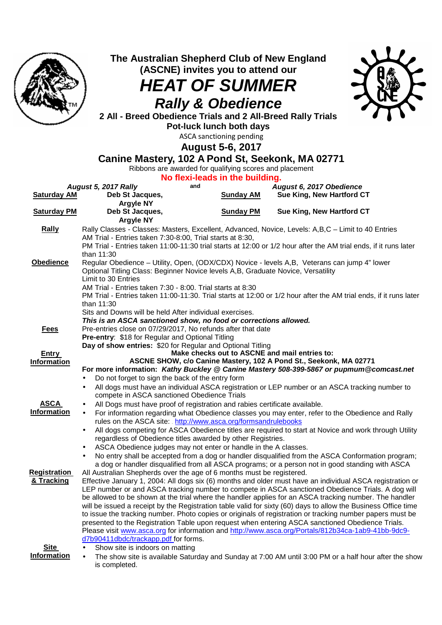

**The Australian Shepherd Club of New England (ASCNE) invites you to attend our** 

## **HEAT OF SUMMER Rally & Obedience**



**2 All - Breed Obedience Trials and 2 All-Breed Rally Trials Pot-luck lunch both days** 

ASCA sanctioning pending

**August 5-6, 2017** 

## **Canine Mastery, 102 A Pond St, Seekonk, MA 02771**

Ribbons are awarded for qualifying scores and placement

| No flexi-leads in the building. |                                                                                                                                                                                                                                                                                     |                  |                                                                                                                |  |
|---------------------------------|-------------------------------------------------------------------------------------------------------------------------------------------------------------------------------------------------------------------------------------------------------------------------------------|------------------|----------------------------------------------------------------------------------------------------------------|--|
|                                 | and<br>August 5, 2017 Rally                                                                                                                                                                                                                                                         |                  | August 6, 2017 Obedience                                                                                       |  |
| <b>Saturday AM</b>              | Deb St Jacques,                                                                                                                                                                                                                                                                     | <b>Sunday AM</b> | Sue King, New Hartford CT                                                                                      |  |
|                                 | <b>Argyle NY</b>                                                                                                                                                                                                                                                                    |                  |                                                                                                                |  |
| <b>Saturday PM</b>              | Deb St Jacques,                                                                                                                                                                                                                                                                     | <b>Sunday PM</b> | Sue King, New Hartford CT                                                                                      |  |
|                                 | <b>Argyle NY</b>                                                                                                                                                                                                                                                                    |                  |                                                                                                                |  |
| <b>Rally</b>                    | Rally Classes - Classes: Masters, Excellent, Advanced, Novice, Levels: A,B,C - Limit to 40 Entries<br>AM Trial - Entries taken 7:30-8:00, Trial starts at 8:30,<br>PM Trial - Entries taken 11:00-11:30 trial starts at 12:00 or 1/2 hour after the AM trial ends, if it runs later |                  |                                                                                                                |  |
|                                 |                                                                                                                                                                                                                                                                                     |                  |                                                                                                                |  |
|                                 | than 11:30                                                                                                                                                                                                                                                                          |                  |                                                                                                                |  |
| <b>Obedience</b>                |                                                                                                                                                                                                                                                                                     |                  |                                                                                                                |  |
|                                 | Regular Obedience - Utility, Open, (ODX/CDX) Novice - levels A,B, Veterans can jump 4" lower<br>Optional Titling Class: Beginner Novice levels A, B, Graduate Novice, Versatility                                                                                                   |                  |                                                                                                                |  |
|                                 | Limit to 30 Entries                                                                                                                                                                                                                                                                 |                  |                                                                                                                |  |
|                                 | AM Trial - Entries taken 7:30 - 8:00. Trial starts at 8:30                                                                                                                                                                                                                          |                  |                                                                                                                |  |
|                                 | PM Trial - Entries taken 11:00-11:30. Trial starts at 12:00 or 1/2 hour after the AM trial ends, if it runs later                                                                                                                                                                   |                  |                                                                                                                |  |
|                                 | than 11:30                                                                                                                                                                                                                                                                          |                  |                                                                                                                |  |
|                                 | Sits and Downs will be held After individual exercises.                                                                                                                                                                                                                             |                  |                                                                                                                |  |
|                                 | This is an ASCA sanctioned show, no food or corrections allowed.                                                                                                                                                                                                                    |                  |                                                                                                                |  |
| <u>Fees</u>                     | Pre-entries close on 07/29/2017, No refunds after that date                                                                                                                                                                                                                         |                  |                                                                                                                |  |
|                                 | Pre-entry: \$18 for Regular and Optional Titling<br>Day of show entries: \$20 for Regular and Optional Titling                                                                                                                                                                      |                  |                                                                                                                |  |
| <b>Entry</b>                    |                                                                                                                                                                                                                                                                                     |                  | Make checks out to ASCNE and mail entries to:                                                                  |  |
| <b>Information</b>              |                                                                                                                                                                                                                                                                                     |                  | ASCNE SHOW, c/o Canine Mastery, 102 A Pond St., Seekonk, MA 02771                                              |  |
|                                 |                                                                                                                                                                                                                                                                                     |                  | For more information: Kathy Buckley @ Canine Mastery 508-399-5867 or pupmum@comcast.net                        |  |
|                                 | Do not forget to sign the back of the entry form<br>$\bullet$                                                                                                                                                                                                                       |                  |                                                                                                                |  |
|                                 | $\bullet$                                                                                                                                                                                                                                                                           |                  | All dogs must have an individual ASCA registration or LEP number or an ASCA tracking number to                 |  |
|                                 | compete in ASCA sanctioned Obedience Trials                                                                                                                                                                                                                                         |                  |                                                                                                                |  |
| <b>ASCA</b>                     | All Dogs must have proof of registration and rabies certificate available.<br>$\bullet$                                                                                                                                                                                             |                  |                                                                                                                |  |
| <b>Information</b>              | $\bullet$                                                                                                                                                                                                                                                                           |                  | For information regarding what Obedience classes you may enter, refer to the Obedience and Rally               |  |
|                                 | rules on the ASCA site: http://www.asca.org/formsandrulebooks                                                                                                                                                                                                                       |                  |                                                                                                                |  |
|                                 | $\bullet$                                                                                                                                                                                                                                                                           |                  | All dogs competing for ASCA Obedience titles are required to start at Novice and work through Utility          |  |
|                                 | regardless of Obedience titles awarded by other Registries.                                                                                                                                                                                                                         |                  |                                                                                                                |  |
|                                 | ASCA Obedience judges may not enter or handle in the A classes.<br>$\bullet$                                                                                                                                                                                                        |                  | No entry shall be accepted from a dog or handler disqualified from the ASCA Conformation program;              |  |
|                                 | $\bullet$                                                                                                                                                                                                                                                                           |                  | a dog or handler disqualified from all ASCA programs; or a person not in good standing with ASCA               |  |
| <b>Registration</b>             | All Australian Shepherds over the age of 6 months must be registered.                                                                                                                                                                                                               |                  |                                                                                                                |  |
| & Tracking                      |                                                                                                                                                                                                                                                                                     |                  | Effective January 1, 2004: All dogs six (6) months and older must have an individual ASCA registration or      |  |
|                                 |                                                                                                                                                                                                                                                                                     |                  | LEP number or and ASCA tracking number to compete in ASCA sanctioned Obedience Trials. A dog will              |  |
|                                 |                                                                                                                                                                                                                                                                                     |                  | be allowed to be shown at the trial where the handler applies for an ASCA tracking number. The handler         |  |
|                                 |                                                                                                                                                                                                                                                                                     |                  | will be issued a receipt by the Registration table valid for sixty (60) days to allow the Business Office time |  |
|                                 |                                                                                                                                                                                                                                                                                     |                  | to issue the tracking number. Photo copies or originals of registration or tracking number papers must be      |  |
|                                 | presented to the Registration Table upon request when entering ASCA sanctioned Obedience Trials.<br>Please visit www.asca.org for information and http://www.asca.org/Portals/812b34ca-1ab9-41bb-9dc9-                                                                              |                  |                                                                                                                |  |
|                                 | d7b90411dbdc/trackapp.pdf for forms.                                                                                                                                                                                                                                                |                  |                                                                                                                |  |
| Site                            |                                                                                                                                                                                                                                                                                     |                  |                                                                                                                |  |
| <b>Information</b>              | Show site is indoors on matting<br>$\bullet$                                                                                                                                                                                                                                        |                  | The show site is available Saturday and Sunday at 7:00 AM until 3:00 PM or a half hour after the show          |  |
|                                 | is completed.                                                                                                                                                                                                                                                                       |                  |                                                                                                                |  |
|                                 |                                                                                                                                                                                                                                                                                     |                  |                                                                                                                |  |